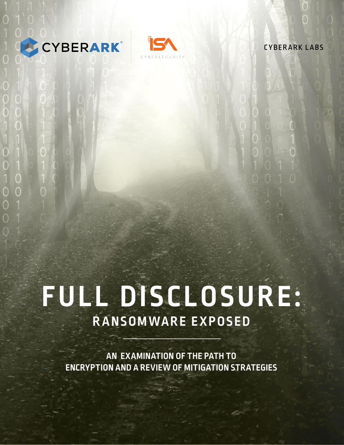



CYBERARK LABS

# **• FULL DISCLOSURE: • RANSOMWARE EXPOSED**

**• AN EXAMINATION OF THE PATH TO • ENCRYPTION AND A REVIEW OF MITIGATION STRATEGIES**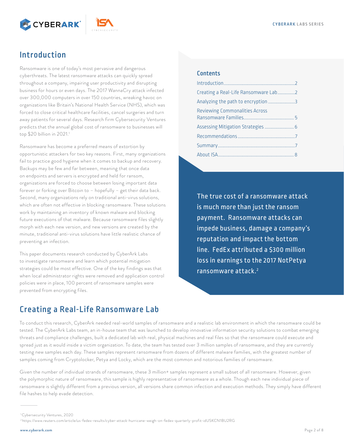



# Introduction

Ransomware is one of today's most pervasive and dangerous cyberthreats. The latest ransomware attacks can quickly spread throughout a company, impairing user productivity and disrupting business for hours or even days. The 2017 WannaCry attack infected over 300,000 computers in over 150 countries, wreaking havoc on organizations like Britain's National Health Service (NHS), which was forced to close critical healthcare facilities, cancel surgeries and turn away patients for several days. Research firm Cybersecurity Ventures predicts that the annual global cost of ransomware to businesses will top \$20 billion in 2021.1

Ransomware has become a preferred means of extortion by opportunistic attackers for two key reasons. First, many organizations fail to practice good hygiene when it comes to backup and recovery. Backups may be few and far between, meaning that once data on endpoints and servers is encrypted and held for ransom, organizations are forced to choose between losing important data forever or forking over Bitcoin to - hopefully - get their data back. Second, many organizations rely on traditional anti-virus solutions, which are often not effective in blocking ransomware. These solutions work by maintaining an inventory of known malware and blocking future executions of that malware. Because ransomware files slightly morph with each new version, and new versions are created by the minute, traditional anti-virus solutions have little realistic chance of preventing an infection.

This paper documents research conducted by CyberArk Labs to investigate ransomware and learn which potential mitigation strategies could be most effective. One of the key findings was that when local administrator rights were removed and application control policies were in place, 100 percent of ransomware samples were prevented from encrypting files.

#### **Contents**

| Creating a Real-Life Ransomware Lab2  |  |
|---------------------------------------|--|
|                                       |  |
| <b>Reviewing Commonalities Across</b> |  |
| Assessing Mitigation Strategies  6    |  |
|                                       |  |
|                                       |  |
|                                       |  |
|                                       |  |

The true cost of a ransomware attack is much more than just the ransom payment. Ransomware attacks can impede business, damage a company's reputation and impact the bottom line. FedEx attributed a \$300 million loss in earnings to the 2017 NotPetya ransomware attack.<sup>2</sup>

# **Creating a Real-Life Ransomware Lab**

To conduct this research, CyberArk needed real-world samples of ransomware and a realistic lab environment in which the ransomware could be tested. The CyberArk Labs team, an in-house team that was launched to develop innovative information security solutions to combat emerging threats and compliance challenges, built a dedicated lab with real, physical machines and real files so that the ransomware could execute and spread just as it would inside a victim organization. To date, the team has tested over 3 million samples of ransomware, and they are currently testing new samples each day. These samples represent ransomware from dozens of different malware families, with the greatest number of samples coming from Cryptolocker, Petya and Locky, which are the most common and notorious families of ransomware.

Given the number of individual strands of ransomware, these 3 million+ samples represent a small subset of all ransomware. However, given the polymorphic nature of ransomware, this sample is highly representative of ransomware as a whole. Though each new individual piece of ransomware is slightly different from a previous version, all versions share common infection and execution methods. They simply have different file hashes to help evade detection.

<sup>&</sup>lt;sup>1</sup>Cybersecurity Ventures, 2020

<sup>&</sup>lt;sup>2</sup>https://www.reuters.com/article/us-fedex-results/cyber-attack-hurricane-weigh-on-fedex-quarterly-profit-idUSKCN1BU2RG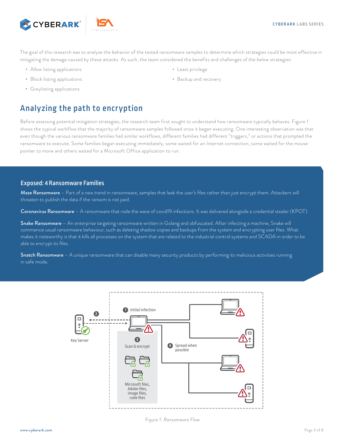<span id="page-2-0"></span>



The goal of this research was to analyze the behavior of the tested ransomware samples to determine which strategies could be most effective in mitigating the damage caused by these attacks. As such, the team considered the benefits and challenges of the below strategies:

- Allow listing applications
- Block listing applications
- Greylisting applications

# Analyzing the path to encryption

Before assessing potential mitigation strategies, the research team first sought to understand how ransomware typically behaves. Figure 1 shows the typical workflow that the majority of ransomware samples followed once it began executing. One interesting observation was that even though the various ransomware families had similar workflows, different families had different "triggers," or actions that prompted the ransomware to execute. Some families began executing immediately, some waited for an Internet connection, some waited for the mouse pointer to move and others waited for a Microsoft Office application to run.

#### Exposed: 4 Ransomware Families

Maze Ransomware – Part of a new trend in ransomware, samples that leak the user's files rather than just encrypt them. Attackers will threaten to publish the data if the ransom is not paid.

Coronavirus Ransomware – A ransomware that rode the wave of covid19 infections. It was delivered alongside a credential stealer (KPOT).

Snake Ransomware – An enterprise targeting ransomware written in Golang and obfuscated. After infecting a machine, Snake will commence usual ransomware behaviour, such as deleting shadow copies and backups from the system and encrypting user files. What makes it noteworthy is that it kills all processes on the system that are related to the industrial control systems and SCADA in order to be able to encrypt its files.

Snatch Ransomware – A unique ransomware that can disable many security products by performing its malicious activities running in safe mode.



*Figure 1: Ransomware Flow*

- Least privilege
- Backup and recovery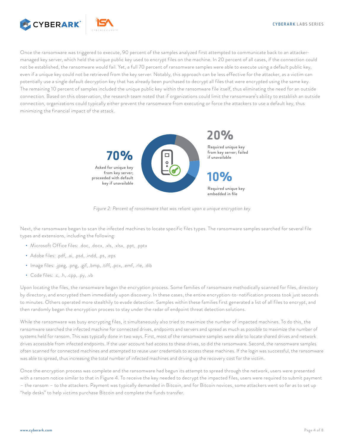

Once the ransomware was triggered to execute, 90 percent of the samples analyzed first attempted to communicate back to an attackermanaged key server, which held the unique public key used to encrypt files on the machine. In 20 percent of all cases, if the connection could not be established, the ransomware would fail. Yet, a full 70 percent of ransomware samples were able to execute using a default public key, even if a unique key could not be retrieved from the key server. Notably, this approach can be less effective for the attacker, as a victim can potentially use a single default decryption key that has already been purchased to decrypt all files that were encrypted using the same key. The remaining 10 percent of samples included the unique public key within the ransomware file itself, thus eliminating the need for an outside connection. Based on this observation, the research team noted that if organizations could limit the ransomware's ability to establish an outside connection, organizations could typically either prevent the ransomware from executing or force the attackers to use a default key, thus minimizing the financial impact of the attack.



*Figure 2: Percent of ransomware that was reliant upon a unique encryption key*

Next, the ransomware began to scan the infected machines to locate specific files types. The ransomware samples searched for several file types and extensions, including the following:

- Microsoft Office files: .doc, .docx, .xls, .xlsx, .ppt, .pptx
- Adobe files: .pdf, .ai, .psd, .indd, .ps, .eps
- Image files: .jpeg, .png, .gif, .bmp, .tiff, .pcx, .emf, .rle, .dib
- Code files: .c, .h, .cpp, .py, .vb

Upon locating the files, the ransomware began the encryption process. Some families of ransomware methodically scanned for files, directory by directory, and encrypted them immediately upon discovery. In these cases, the entire encryption-to-notification process took just seconds to minutes. Others operated more stealthily to evade detection. Samples within these families first generated a list of all files to encrypt, and then randomly began the encryption process to stay under the radar of endpoint threat detection solutions.

While the ransomware was busy encrypting files, it simultaneously also tried to maximize the number of impacted machines. To do this, the ransomware searched the infected machine for connected drives, endpoints and servers and spread as much as possible to maximize the number of systems held for ransom. This was typically done in two ways. First, most of the ransomware samples were able to locate shared drives and network drives accessible from infected endpoints. If the user account had access to these drives, so did the ransomware. Second, the ransomware samples often scanned for connected machines and attempted to reuse user credentials to access these machines. If the login was successful, the ransomware was able to spread, thus increasing the total number of infected machines and driving up the recovery cost for the victim.

Once the encryption process was complete and the ransomware had begun its attempt to spread through the network, users were presented with a ransom notice similar to that in Figure 4. To receive the key needed to decrypt the impacted files, users were required to submit payment – the ransom – to the attackers. Payment was typically demanded in Bitcoin, and for Bitcoin novices, some attackers went so far as to set up "help desks" to help victims purchase Bitcoin and complete the funds transfer.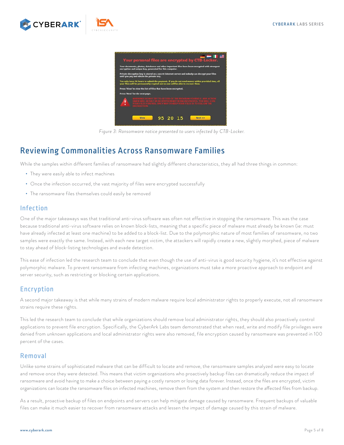<span id="page-4-0"></span>



*Figure 3: Ransomware notice presented to users infected by CTB-Locker.*

## Reviewing Commonalities Across Ransomware Families

While the samples within different families of ransomware had slightly different characteristics, they all had three things in common:

- They were easily able to infect machines
- Once the infection occurred, the vast majority of files were encrypted successfully
- The ransomware files themselves could easily be removed

### Infection

One of the major takeaways was that traditional anti-virus software was often not effective in stopping the ransomware. This was the case because traditional anti-virus software relies on known block-lists, meaning that a specific piece of malware must already be known (ie: must have already infected at least one machine) to be added to a block-list. Due to the polymorphic nature of most families of ransomware, no two samples were exactly the same. Instead, with each new target victim, the attackers will rapidly create a new, slightly morphed, piece of malware to stay ahead of block-listing technologies and evade detection.

This ease of infection led the research team to conclude that even though the use of anti-virus is good security hygiene, it's not effective against polymorphic malware. To prevent ransomware from infecting machines, organizations must take a more proactive approach to endpoint and server security, such as restricting or blocking certain applications.

## Encryption

A second major takeaway is that while many strains of modern malware require local administrator rights to properly execute, not all ransomware strains require these rights.

This led the research team to conclude that while organizations should remove local administrator rights, they should also proactively control applications to prevent file encryption. Specifically, the CyberArk Labs team demonstrated that when read, write and modify file privileges were denied from unknown applications and local administrator rights were also removed, file encryption caused by ransomware was prevented in 100 percent of the cases.

#### Removal

Unlike some strains of sophisticated malware that can be difficult to locate and remove, the ransomware samples analyzed were easy to locate and remove once they were detected. This means that victim organizations who proactively backup files can dramatically reduce the impact of ransomware and avoid having to make a choice between paying a costly ransom or losing data forever. Instead, once the files are encrypted, victim organizations can locate the ransomware files on infected machines, remove them from the system and then restore the affected files from backup.

As a result, proactive backup of files on endpoints and servers can help mitigate damage caused by ransomware. Frequent backups of valuable files can make it much easier to recover from ransomware attacks and lessen the impact of damage caused by this strain of malware.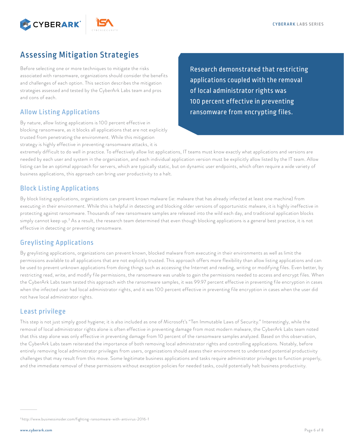<span id="page-5-0"></span>



# Assessing Mitigation Strategies

Before selecting one or more techniques to mitigate the risks associated with ransomware, organizations should consider the benefits and challenges of each option. This section describes the mitigation strategies assessed and tested by the CyberArk Labs team and pros and cons of each.

## Allow Listing Applications

By nature, allow listing applications is 100 percent effective in blocking ransomware, as it blocks all applications that are not explicitly trusted from penetrating the environment. While this mitigation strategy is highly effective in preventing ransomware attacks, it is

Research demonstrated that restricting applications coupled with the removal of local administrator rights was 100 percent effective in preventing ransomware from encrypting files.

extremely difficult to do well in practice. To effectively allow list applications, IT teams must know exactly what applications and versions are needed by each user and system in the organization, and each individual application version must be explicitly allow listed by the IT team. Allow listing can be an optimal approach for servers, which are typically static, but on dynamic user endpoints, which often require a wide variety of business applications, this approach can bring user productivity to a halt.

## Block Listing Applications

By block listing applications, organizations can prevent known malware (ie: malware that has already infected at least one machine) from executing in their environment. While this is helpful in detecting and blocking older versions of opportunistic malware, it is highly ineffective in protecting against ransomware. Thousands of new ransomware samples are released into the wild each day, and traditional application blocks simply cannot keep up.<sup>3</sup> As a result, the research team determined that even though blocking applications is a general best practice, it is not effective in detecting or preventing ransomware.

## Greylisting Applications

By greylisting applications, organizations can prevent known, blocked malware from executing in their environments as well as limit the permissions available to all applications that are not explicitly trusted. This approach offers more flexibility than allow listing applications and can be used to prevent unknown applications from doing things such as accessing the Internet and reading, writing or modifying files. Even better, by restricting read, write, and modify file permissions, the ransomware was unable to gain the permissions needed to access and encrypt files. When the CyberArk Labs team tested this approach with the ransomware samples, it was 99.97 percent effective in preventing file encryption in cases when the infected user had local administrator rights, and it was 100 percent effective in preventing file encryption in cases when the user did not have local administrator rights.

## Least privilege

This step is not just simply good hygiene; it is also included as one of Microsoft's "Ten Immutable Laws of Security." Interestingly, while the removal of local administrator rights alone is often effective in preventing damage from most modern malware, the CyberArk Labs team noted that this step alone was only effective in preventing damage from 10 percent of the ransomware samples analyzed. Based on this observation, the CyberArk Labs team reiterated the importance of both removing local administrator rights and controlling applications. Notably, before entirely removing local administrator privileges from users, organizations should assess their environment to understand potential productivity challenges that may result from this move. Some legitimate business applications and tasks require administrator privileges to function properly, and the immediate removal of these permissions without exception policies for needed tasks, could potentially halt business productivity.

<sup>3</sup> http://www.businessinsider.com/fighting-ransomware-with-antivirus-2016-1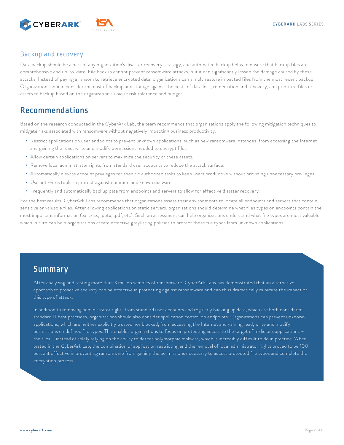<span id="page-6-0"></span>

## Backup and recovery

Data backup should be a part of any organization's disaster recovery strategy, and automated backup helps to ensure that backup files are comprehensive and up-to-date. File backup cannot prevent ransomware attacks, but it can significantly lessen the damage caused by these attacks. Instead of paying a ransom to retrieve encrypted data, organizations can simply restore impacted files from the most recent backup. Organizations should consider the cost of backup and storage against the costs of data loss, remediation and recovery, and prioritize files or assets to backup based on the organization's unique risk tolerance and budget.

## Recommendations

Based on the research conducted in the CyberArk Lab, the team recommends that organizations apply the following mitigation techniques to mitigate risks associated with ransomware without negatively impacting business productivity.

- Restrict applications on user endpoints to prevent unknown applications, such as new ransomware instances, from accessing the Internet and gaining the read, write and modify permissions needed to encrypt files.
- Allow certain applications on servers to maximize the security of these assets.
- Remove local administrator rights from standard user accounts to reduce the attack surface.
- Automatically elevate account privileges for specific authorized tasks to keep users productive without providing unnecessary privileges.
- Use anti-virus tools to protect against common and known malware.
- Frequently and automatically backup data from endpoints and servers to allow for effective disaster recovery.

For the best results, CyberArk Labs recommends that organizations assess their environments to locate all endpoints and servers that contain sensitive or valuable files. After allowing applications on static servers, organizations should determine what files types on endpoints contain the most important information (ex: .xlsx, .pptx, .pdf, etc). Such an assessment can help organizations understand what file types are most valuable, which in turn can help organizations create effective greylisting policies to protect these file types from unknown applications.

## Summary

After analyzing and testing more than 3 million samples of ransomware, CyberArk Labs has demonstrated that an alternative approach to proactive security can be effective in protecting against ransomware and can thus dramatically minimize the impact of this type of attack.

In addition to removing administrator rights from standard user accounts and regularly backing up data, which are both considered standard IT best practices, organizations should also consider application control on endpoints. Organizations can prevent unknown applications, which are neither explicitly trusted nor blocked, from accessing the Internet and gaining read, write and modify permissions on defined file types. This enables organizations to focus on protecting access to the target of malicious applications – the files – instead of solely relying on the ability to detect polymorphic malware, which is incredibly difficult to do in practice. When tested in the CyberArk Lab, the combination of application restricting and the removal of local administrator rights proved to be 100 percent effective in preventing ransomware from gaining the permissions necessary to access protected file types and complete the encryption process.